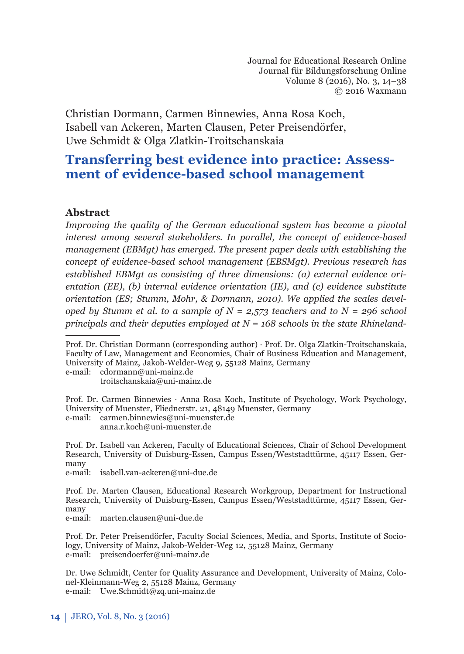Christian Dormann, Carmen Binnewies, Anna Rosa Koch, Isabell van Ackeren, Marten Clausen, Peter Preisendörfer, Uwe Schmidt & Olga Zlatkin-Troitschanskaia

# **Transferring best evidence into practice: Assessment of evidence-based school management**

### Abstract

*Improving the quality of the German educational system has become a pivotal interest among several stakeholders. In parallel, the concept of evidence-based management (EBMgt) has emerged. The present paper deals with establishing the concept of evidence-based school management (EBSMgt). Previous research has established EBMgt as consisting of three dimensions: (a) external evidence orientation (EE), (b) internal evidence orientation (IE), and (c) evidence substitute orientation (ES; Stumm, Mohr, & Dormann, 2010). We applied the scales developed by Stumm et al. to a sample of*  $N = 2,573$  *teachers and to*  $N = 296$  *school principals and their deputies employed at N = 168 schools in the state Rhineland-*

e-mail: cdormann@uni-mainz.de troitschanskaia@uni-mainz.de

Prof. Dr. Carmen Binnewies · Anna Rosa Koch, Institute of Psychology, Work Psychology, University of Muenster, Fliednerstr. 21, 48149 Muenster, Germany

e-mail: carmen.binnewies@uni-muenster.de

anna.r.koch@uni-muenster.de

Prof. Dr. Isabell van Ackeren, Faculty of Educational Sciences, Chair of School Development Research, University of Duisburg-Essen, Campus Essen/Weststadttürme, 45117 Essen, Germany

e-mail: isabell.van-ackeren@uni-due.de

Prof. Dr. Marten Clausen, Educational Research Workgroup, Department for Instructional Research, University of Duisburg-Essen, Campus Essen/Weststadttürme, 45117 Essen, Germany

e-mail: marten.clausen@uni-due.de

Prof. Dr. Peter Preisendörfer, Faculty Social Sciences, Media, and Sports, Institute of Sociology, University of Mainz, Jakob-Welder-Weg 12, 55128 Mainz, Germany e-mail: preisendoerfer@uni-mainz.de

Dr. Uwe Schmidt, Center for Quality Assurance and Development, University of Mainz, Colonel-Kleinmann-Weg 2, 55128 Mainz, Germany e-mail: Uwe.Schmidt@zq.uni-mainz.de

Prof. Dr. Christian Dormann (corresponding author) · Prof. Dr. Olga Zlatkin-Troitschanskaia, Faculty of Law, Management and Economics, Chair of Business Education and Management, University of Mainz, Jakob-Welder-Weg 9, 55128 Mainz, Germany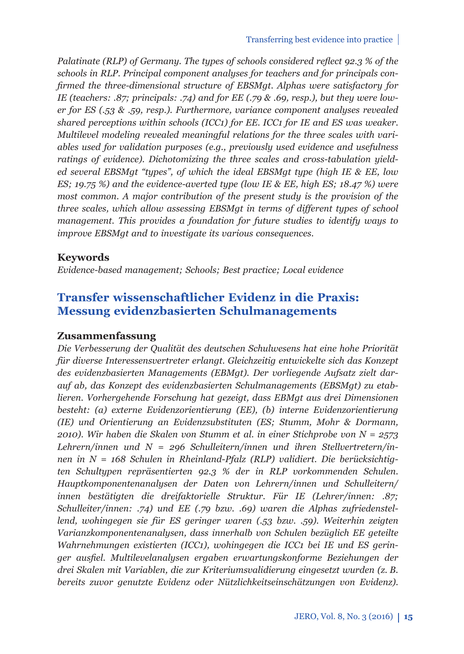*Palatinate (RLP) of Germany. The types of schools considered reflect 92.3 % of the schools in RLP. Principal component analyses for teachers and for principals confi rmed the three-dimensional structure of EBSMgt. Alphas were satisfactory for IE (teachers: .87; principals: .74) and for EE (.79 & .69, resp.), but they were lower for ES (.53 & .59, resp.). Furthermore, variance component analyses revealed shared perceptions within schools (ICC1) for EE. ICC1 for IE and ES was weaker. Multilevel modeling revealed meaningful relations for the three scales with variables used for validation purposes (e.g., previously used evidence and usefulness ratings of evidence). Dichotomizing the three scales and cross-tabulation yielded several EBSMgt "types", of which the ideal EBSMgt type (high IE & EE, low ES; 19.75 %) and the evidence-averted type (low IE & EE, high ES; 18.47 %) were most common. A major contribution of the present study is the provision of the three scales, which allow assessing EBSMgt in terms of different types of school management. This provides a foundation for future studies to identify ways to improve EBSMgt and to investigate its various consequences.*

### **Keywords**

*Evidence-based management; Schools; Best practice; Local evidence*

## **Transfer wissenschaftlicher Evidenz in die Praxis: Messung evidenzbasierten Schulmanagements**

### **Zusammenfassung**

*Die Verbesserung der Qualität des deutschen Schulwesens hat eine hohe Priorität für diverse Interessensvertreter erlangt. Gleichzeitig entwickelte sich das Konzept des evidenzbasierten Managements (EBMgt). Der vorliegende Aufsatz zielt darauf ab, das Konzept des evidenzbasierten Schulmanagements (EBSMgt) zu etablieren. Vorhergehende Forschung hat gezeigt, dass EBMgt aus drei Dimensionen besteht: (a) externe Evidenzorientierung (EE), (b) interne Evidenzorientierung (IE) und Orientierung an Evidenzsubstituten (ES; Stumm, Mohr & Dormann, 2010). Wir haben die Skalen von Stumm et al. in einer Stichprobe von N = 2573 Lehrern/innen und N = 296 Schulleitern/innen und ihren Stellvertretern/innen in N = 168 Schulen in Rheinland-Pfalz (RLP) validiert. Die berücksichtigten Schultypen repräsentierten 92.3 % der in RLP vorkommenden Schulen. Hauptkomponentenanalysen der Daten von Lehrern/innen und Schulleitern/ innen bestätigten die dreifaktorielle Struktur. Für IE (Lehrer/innen: .87; Schulleiter/innen: .74) und EE (.79 bzw. .69) waren die Alphas zufriedenstellend, wohingegen sie für ES geringer waren (.53 bzw. .59). Weiterhin zeigten Varianzkomponentenanalysen, dass innerhalb von Schulen bezüglich EE geteilte Wahrnehmungen existierten (ICC1), wohingegen die ICC1 bei IE und ES geringer ausfi el. Multilevelanalysen ergaben erwartungskonforme Beziehungen der drei Skalen mit Variablen, die zur Kriteriumsvalidierung eingesetzt wurden (z. B. bereits zuvor genutzte Evidenz oder Nützlichkeitseinschätzungen von Evidenz).*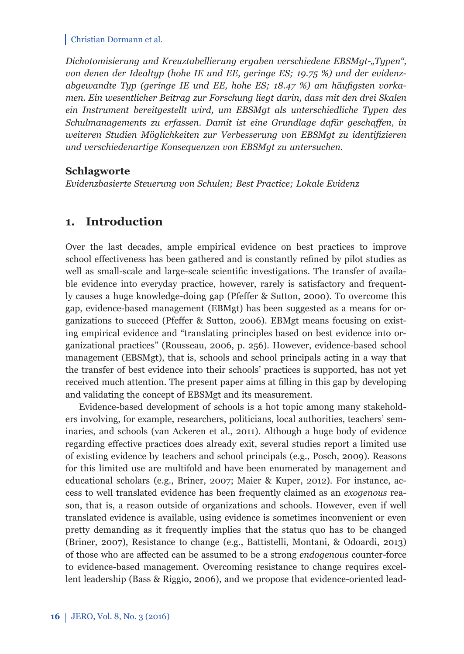*Dichotomisierung und Kreuztabellierung ergaben verschiedene EBSMgt-"Typen", von denen der Idealtyp (hohe IE und EE, geringe ES; 19.75 %) und der evidenz*abgewandte Typ (geringe IE und EE, hohe ES; 18.47 %) am häufigsten vorka*men. Ein wesentlicher Beitrag zur Forschung liegt darin, dass mit den drei Skalen ein Instrument bereitgestellt wird, um EBSMgt als unterschiedliche Typen des Schulmanagements zu erfassen. Damit ist eine Grundlage dafür geschaffen, in* weiteren Studien Möglichkeiten zur Verbesserung von EBSMgt zu identifizieren *und verschiedenartige Konsequenzen von EBSMgt zu untersuchen.*

### **Schlagworte**

*Evidenzbasierte Steuerung von Schulen; Best Practice; Lokale Evidenz*

## **1. Introduction**

Over the last decades, ample empirical evidence on best practices to improve school effectiveness has been gathered and is constantly refined by pilot studies as well as small-scale and large-scale scientific investigations. The transfer of available evidence into everyday practice, however, rarely is satisfactory and frequently causes a huge knowledge-doing gap (Pfeffer & Sutton, 2000). To overcome this gap, evidence-based management (EBMgt) has been suggested as a means for organizations to succeed (Pfeffer & Sutton, 2006). EBMgt means focusing on existing empirical evidence and "translating principles based on best evidence into organizational practices" (Rousseau, 2006, p. 256). However, evidence-based school management (EBSMgt), that is, schools and school principals acting in a way that the transfer of best evidence into their schools' practices is supported, has not yet received much attention. The present paper aims at filling in this gap by developing and validating the concept of EBSMgt and its measurement.

Evidence-based development of schools is a hot topic among many stakeholders involving, for example, researchers, politicians, local authorities, teachers' seminaries, and schools (van Ackeren et al., 2011). Although a huge body of evidence regarding effective practices does already exit, several studies report a limited use of existing evidence by teachers and school principals (e.g., Posch, 2009). Reasons for this limited use are multifold and have been enumerated by management and educational scholars (e.g., Briner, 2007; Maier & Kuper, 2012). For instance, access to well translated evidence has been frequently claimed as an *exogenous* reason, that is, a reason outside of organizations and schools. However, even if well translated evidence is available, using evidence is sometimes inconvenient or even pretty demanding as it frequently implies that the status quo has to be changed (Briner, 2007), Resistance to change (e.g., Battistelli, Montani, & Odoardi, 2013) of those who are aff ected can be assumed to be a strong *endogenous* counter-force to evidence-based management. Overcoming resistance to change requires excellent leadership (Bass & Riggio, 2006), and we propose that evidence-oriented lead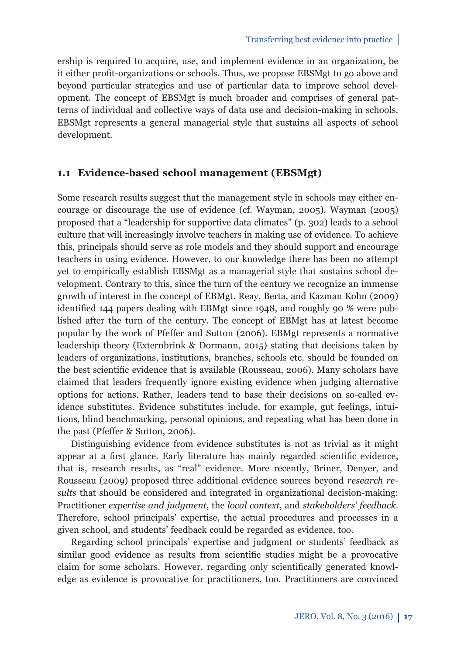ership is required to acquire, use, and implement evidence in an organization, be it either profit-organizations or schools. Thus, we propose EBSMgt to go above and beyond particular strategies and use of particular data to improve school development. The concept of EBSMgt is much broader and comprises of general patterns of individual and collective ways of data use and decision-making in schools. EBSMgt represents a general managerial style that sustains all aspects of school development.

### **1.1 Evidence-based school management (EBSMgt)**

Some research results suggest that the management style in schools may either encourage or discourage the use of evidence (cf. Wayman, 2005). Wayman (2005) proposed that a "leadership for supportive data climates" (p. 302) leads to a school culture that will increasingly involve teachers in making use of evidence. To achieve this, principals should serve as role models and they should support and encourage teachers in using evidence. However, to our knowledge there has been no attempt yet to empirically establish EBSMgt as a managerial style that sustains school development. Contrary to this, since the turn of the century we recognize an immense growth of interest in the concept of EBMgt. Reay, Berta, and Kazman Kohn (2009) identified 144 papers dealing with EBMgt since 1948, and roughly 90  $%$  were published after the turn of the century. The concept of EBMgt has at latest become popular by the work of Pfeffer and Sutton (2006). EBMgt represents a normative leadership theory (Externbrink & Dormann, 2015) stating that decisions taken by leaders of organizations, institutions, branches, schools etc. should be founded on the best scientific evidence that is available (Rousseau, 2006). Many scholars have claimed that leaders frequently ignore existing evidence when judging alternative options for actions. Rather, leaders tend to base their decisions on so-called evidence substitutes. Evidence substitutes include, for example, gut feelings, intuitions, blind benchmarking, personal opinions, and repeating what has been done in the past (Pfeffer & Sutton, 2006).

Distinguishing evidence from evidence substitutes is not as trivial as it might appear at a first glance. Early literature has mainly regarded scientific evidence, that is, research results, as "real" evidence. More recently, Briner, Denyer, and Rousseau (2009) proposed three additional evidence sources beyond *research results* that should be considered and integrated in organizational decision-making: Practitioner *expertise and judgment*, the *local context*, and *stakeholders' feedback*. Therefore, school principals' expertise, the actual procedures and processes in a given school, and students' feedback could be regarded as evidence, too.

Regarding school principals' expertise and judgment or students' feedback as similar good evidence as results from scientific studies might be a provocative claim for some scholars. However, regarding only scientifically generated knowledge as evidence is provocative for practitioners, too. Practitioners are convinced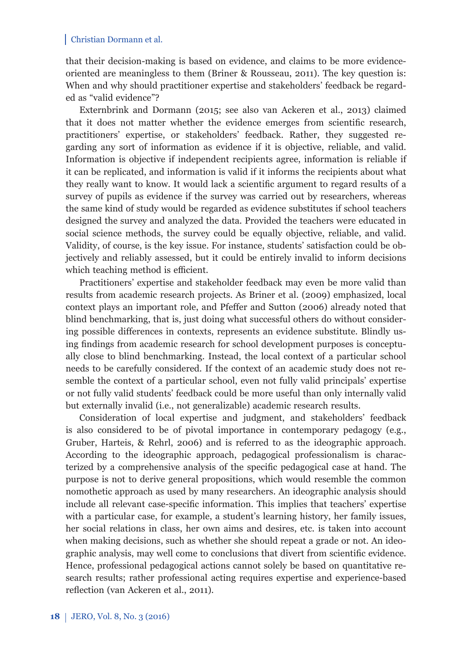that their decision-making is based on evidence, and claims to be more evidenceoriented are meaningless to them (Briner & Rousseau, 2011). The key question is: When and why should practitioner expertise and stakeholders' feedback be regarded as "valid evidence"?

Externbrink and Dormann (2015; see also van Ackeren et al., 2013) claimed that it does not matter whether the evidence emerges from scientific research, practitioners' expertise, or stakeholders' feedback. Rather, they suggested regarding any sort of information as evidence if it is objective, reliable, and valid. Information is objective if independent recipients agree, information is reliable if it can be replicated, and information is valid if it informs the recipients about what they really want to know. It would lack a scientific argument to regard results of a survey of pupils as evidence if the survey was carried out by researchers, whereas the same kind of study would be regarded as evidence substitutes if school teachers designed the survey and analyzed the data. Provided the teachers were educated in social science methods, the survey could be equally objective, reliable, and valid. Validity, of course, is the key issue. For instance, students' satisfaction could be objectively and reliably assessed, but it could be entirely invalid to inform decisions which teaching method is efficient.

Practitioners' expertise and stakeholder feedback may even be more valid than results from academic research projects. As Briner et al. (2009) emphasized, local context plays an important role, and Pfeffer and Sutton (2006) already noted that blind benchmarking, that is, just doing what successful others do without considering possible differences in contexts, represents an evidence substitute. Blindly using findings from academic research for school development purposes is conceptually close to blind benchmarking. Instead, the local context of a particular school needs to be carefully considered. If the context of an academic study does not resemble the context of a particular school, even not fully valid principals' expertise or not fully valid students' feedback could be more useful than only internally valid but externally invalid (i.e., not generalizable) academic research results.

Consideration of local expertise and judgment, and stakeholders' feedback is also considered to be of pivotal importance in contemporary pedagogy (e.g., Gruber, Harteis, & Rehrl, 2006) and is referred to as the ideographic approach. According to the ideographic approach, pedagogical professionalism is characterized by a comprehensive analysis of the specific pedagogical case at hand. The purpose is not to derive general propositions, which would resemble the common nomothetic approach as used by many researchers. An ideographic analysis should include all relevant case-specific information. This implies that teachers' expertise with a particular case, for example, a student's learning history, her family issues, her social relations in class, her own aims and desires, etc. is taken into account when making decisions, such as whether she should repeat a grade or not. An ideographic analysis, may well come to conclusions that divert from scientific evidence. Hence, professional pedagogical actions cannot solely be based on quantitative research results; rather professional acting requires expertise and experience-based reflection (van Ackeren et al., 2011).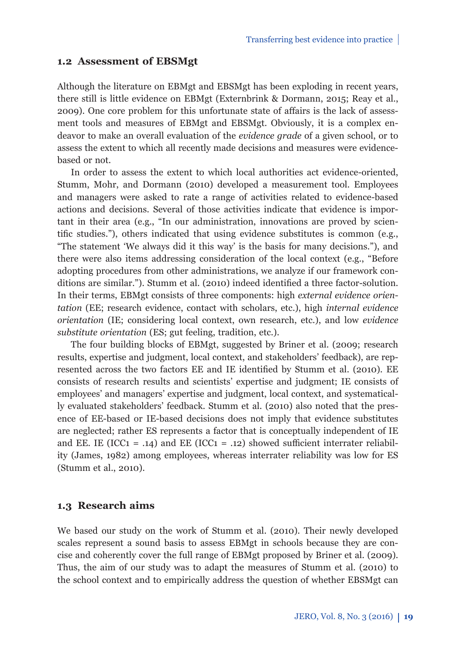#### **1.2 Assessment of EBSMgt**

Although the literature on EBMgt and EBSMgt has been exploding in recent years, there still is little evidence on EBMgt (Externbrink & Dormann, 2015; Reay et al., 2009). One core problem for this unfortunate state of affairs is the lack of assessment tools and measures of EBMgt and EBSMgt. Obviously, it is a complex endeavor to make an overall evaluation of the *evidence grade* of a given school, or to assess the extent to which all recently made decisions and measures were evidencebased or not.

In order to assess the extent to which local authorities act evidence-oriented, Stumm, Mohr, and Dormann (2010) developed a measurement tool. Employees and managers were asked to rate a range of activities related to evidence-based actions and decisions. Several of those activities indicate that evidence is important in their area (e.g., "In our administration, innovations are proved by scientific studies."), others indicated that using evidence substitutes is common (e.g., "The statement 'We always did it this way' is the basis for many decisions."), and there were also items addressing consideration of the local context (e.g., "Before adopting procedures from other administrations, we analyze if our framework conditions are similar."). Stumm et al. (2010) indeed identified a three factor-solution. In their terms, EBMgt consists of three components: high *external evidence orientation* (EE; research evidence, contact with scholars, etc.), high *internal evidence orientation* (IE; considering local context, own research, etc.), and low *evidence substitute orientation* (ES; gut feeling, tradition, etc.).

The four building blocks of EBMgt, suggested by Briner et al. (2009; research results, expertise and judgment, local context, and stakeholders' feedback), are represented across the two factors EE and IE identified by Stumm et al. (2010). EE consists of research results and scientists' expertise and judgment; IE consists of employees' and managers' expertise and judgment, local context, and systematically evaluated stakeholders' feedback. Stumm et al. (2010) also noted that the presence of EE-based or IE-based decisions does not imply that evidence substitutes are neglected; rather ES represents a factor that is conceptually independent of IE and EE. IE (ICC1 = .14) and EE (ICC1 = .12) showed sufficient interrater reliability (James, 1982) among employees, whereas interrater reliability was low for ES (Stumm et al., 2010).

### **1.3 Research aims**

We based our study on the work of Stumm et al. (2010). Their newly developed scales represent a sound basis to assess EBMgt in schools because they are concise and coherently cover the full range of EBMgt proposed by Briner et al. (2009). Thus, the aim of our study was to adapt the measures of Stumm et al. (2010) to the school context and to empirically address the question of whether EBSMgt can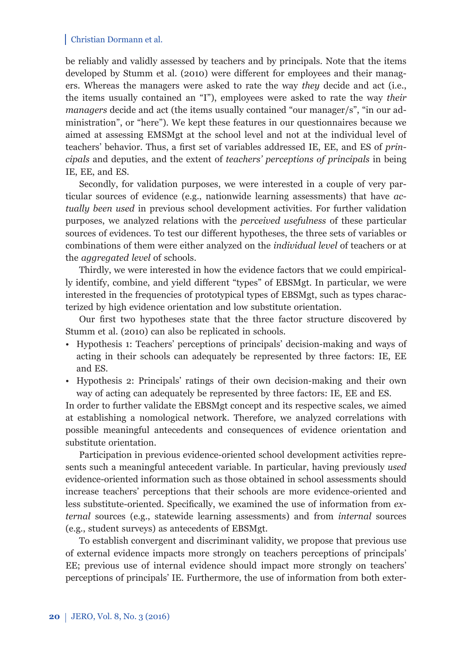be reliably and validly assessed by teachers and by principals. Note that the items developed by Stumm et al. (2010) were different for employees and their managers. Whereas the managers were asked to rate the way *they* decide and act (i.e., the items usually contained an "I"), employees were asked to rate the way *their managers* decide and act (the items usually contained "our manager/s", "in our administration", or "here"). We kept these features in our questionnaires because we aimed at assessing EMSMgt at the school level and not at the individual level of teachers' behavior. Thus, a first set of variables addressed IE, EE, and ES of *principals* and deputies, and the extent of *teachers' perceptions of principals* in being IE, EE, and ES.

Secondly, for validation purposes, we were interested in a couple of very particular sources of evidence (e.g., nationwide learning assessments) that have *actually been used* in previous school development activities. For further validation purposes, we analyzed relations with the *perceived usefulness* of these particular sources of evidences. To test our different hypotheses, the three sets of variables or combinations of them were either analyzed on the *individual level* of teachers or at the *aggregated level* of schools.

Thirdly, we were interested in how the evidence factors that we could empirically identify, combine, and yield different "types" of EBSMgt. In particular, we were interested in the frequencies of prototypical types of EBSMgt, such as types characterized by high evidence orientation and low substitute orientation.

Our first two hypotheses state that the three factor structure discovered by Stumm et al. (2010) can also be replicated in schools.

- Hypothesis 1: Teachers' perceptions of principals' decision-making and ways of acting in their schools can adequately be represented by three factors: IE, EE and ES.
- Hypothesis 2: Principals' ratings of their own decision-making and their own way of acting can adequately be represented by three factors: IE, EE and ES.

In order to further validate the EBSMgt concept and its respective scales, we aimed at establishing a nomological network. Therefore, we analyzed correlations with possible meaningful antecedents and consequences of evidence orientation and substitute orientation.

Participation in previous evidence-oriented school development activities represents such a meaningful antecedent variable. In particular, having previously *used*  evidence-oriented information such as those obtained in school assessments should increase teachers' perceptions that their schools are more evidence-oriented and less substitute-oriented. Specifically, we examined the use of information from *external* sources (e.g., statewide learning assessments) and from *internal* sources (e.g., student surveys) as antecedents of EBSMgt.

To establish convergent and discriminant validity, we propose that previous use of external evidence impacts more strongly on teachers perceptions of principals' EE; previous use of internal evidence should impact more strongly on teachers' perceptions of principals' IE. Furthermore, the use of information from both exter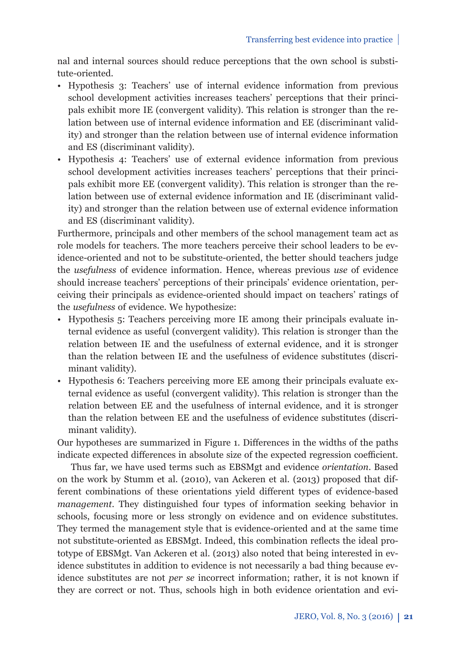nal and internal sources should reduce perceptions that the own school is substitute-oriented.

- Hypothesis 3: Teachers' use of internal evidence information from previous school development activities increases teachers' perceptions that their principals exhibit more IE (convergent validity). This relation is stronger than the relation between use of internal evidence information and EE (discriminant validity) and stronger than the relation between use of internal evidence information and ES (discriminant validity).
- Hypothesis 4: Teachers' use of external evidence information from previous school development activities increases teachers' perceptions that their principals exhibit more EE (convergent validity). This relation is stronger than the relation between use of external evidence information and IE (discriminant validity) and stronger than the relation between use of external evidence information and ES (discriminant validity).

Furthermore, principals and other members of the school management team act as role models for teachers. The more teachers perceive their school leaders to be evidence-oriented and not to be substitute-oriented, the better should teachers judge the *usefulness* of evidence information. Hence, whereas previous *use* of evidence should increase teachers' perceptions of their principals' evidence orientation, perceiving their principals as evidence-oriented should impact on teachers' ratings of the *usefulness* of evidence. We hypothesize:

- Hypothesis 5: Teachers perceiving more IE among their principals evaluate internal evidence as useful (convergent validity). This relation is stronger than the relation between IE and the usefulness of external evidence, and it is stronger than the relation between IE and the usefulness of evidence substitutes (discriminant validity).
- Hypothesis 6: Teachers perceiving more EE among their principals evaluate external evidence as useful (convergent validity). This relation is stronger than the relation between EE and the usefulness of internal evidence, and it is stronger than the relation between EE and the usefulness of evidence substitutes (discriminant validity).

Our hypotheses are summarized in Figure 1. Differences in the widths of the paths indicate expected differences in absolute size of the expected regression coefficient.

Thus far, we have used terms such as EBSMgt and evidence *orientation*. Based on the work by Stumm et al. (2010), van Ackeren et al. (2013) proposed that different combinations of these orientations yield different types of evidence-based *management*. They distinguished four types of information seeking behavior in schools, focusing more or less strongly on evidence and on evidence substitutes. They termed the management style that is evidence-oriented and at the same time not substitute-oriented as EBSMgt. Indeed, this combination reflects the ideal prototype of EBSMgt. Van Ackeren et al. (2013) also noted that being interested in evidence substitutes in addition to evidence is not necessarily a bad thing because evidence substitutes are not *per se* incorrect information; rather, it is not known if they are correct or not. Thus, schools high in both evidence orientation and evi-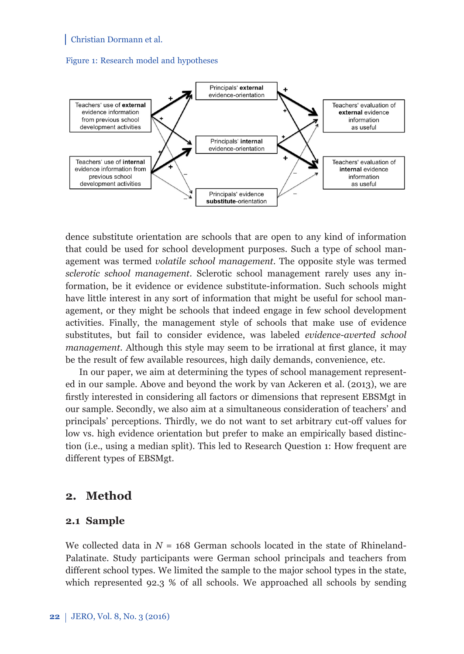#### Figure 1: Research model and hypotheses



dence substitute orientation are schools that are open to any kind of information that could be used for school development purposes. Such a type of school management was termed *volatile school management.* The opposite style was termed *sclerotic school management*. Sclerotic school management rarely uses any information, be it evidence or evidence substitute-information. Such schools might have little interest in any sort of information that might be useful for school management, or they might be schools that indeed engage in few school development activities. Finally, the management style of schools that make use of evidence substitutes, but fail to consider evidence, was labeled *evidence-averted school management*. Although this style may seem to be irrational at first glance, it may be the result of few available resources, high daily demands, convenience, etc.

In our paper, we aim at determining the types of school management represented in our sample. Above and beyond the work by van Ackeren et al. (2013), we are firstly interested in considering all factors or dimensions that represent EBSMgt in our sample. Secondly, we also aim at a simultaneous consideration of teachers' and principals' perceptions. Thirdly, we do not want to set arbitrary cut-off values for low vs. high evidence orientation but prefer to make an empirically based distinction (i.e., using a median split). This led to Research Question 1: How frequent are different types of EBSMgt.

### **2. Method**

### **2.1 Sample**

We collected data in  $N = 168$  German schools located in the state of Rhineland-Palatinate. Study participants were German school principals and teachers from different school types. We limited the sample to the major school types in the state, which represented 92.3 % of all schools. We approached all schools by sending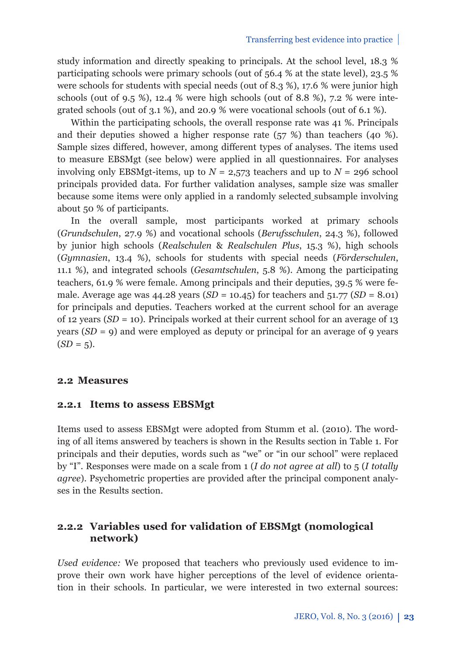study information and directly speaking to principals. At the school level, 18.3 % participating schools were primary schools (out of 56.4 % at the state level), 23.5 % were schools for students with special needs (out of 8.3 %), 17.6 % were junior high schools (out of 9.5 %), 12.4 % were high schools (out of 8.8 %), 7.2 % were integrated schools (out of 3.1 %), and 20.9 % were vocational schools (out of 6.1 %).

Within the participating schools, the overall response rate was 41 %. Principals and their deputies showed a higher response rate (57 %) than teachers (40 %). Sample sizes differed, however, among different types of analyses. The items used to measure EBSMgt (see below) were applied in all questionnaires. For analyses involving only EBSMgt-items, up to  $N = 2,573$  teachers and up to  $N = 296$  school principals provided data. For further validation analyses, sample size was smaller because some items were only applied in a randomly selected subsample involving about 50 % of participants.

In the overall sample, most participants worked at primary schools (*Grundschulen*, 27.9 %) and vocational schools (*Berufsschulen*, 24.3 %), followed by junior high schools (*Realschulen* & *Realschulen Plus*, 15.3 %), high schools (*Gymnasien*, 13.4 %), schools for students with special needs (*F*ö*rderschulen*, 11.1 %), and integrated schools (*Gesamtschulen*, 5.8 %). Among the participating teachers, 61.9 % were female. Among principals and their deputies, 39.5 % were female. Average age was 44.28 years (*SD* = 10.45) for teachers and 51.77 (*SD* = 8.01) for principals and deputies. Teachers worked at the current school for an average of 12 years (*SD* = 10). Principals worked at their current school for an average of 13 years  $(SD = 9)$  and were employed as deputy or principal for an average of 9 years  $(SD = 5)$ .

### **2.2 Measures**

### **2.2.1 Items to assess EBSMgt**

Items used to assess EBSMgt were adopted from Stumm et al. (2010). The wording of all items answered by teachers is shown in the Results section in Table 1. For principals and their deputies, words such as "we" or "in our school" were replaced by "I". Responses were made on a scale from 1 (*I do not agree at all*) to 5 (*I totally agree*). Psychometric properties are provided after the principal component analyses in the Results section.

### **2.2.2 Variables used for validation of EBSMgt (nomological network)**

*Used evidence:* We proposed that teachers who previously used evidence to improve their own work have higher perceptions of the level of evidence orientation in their schools. In particular, we were interested in two external sources: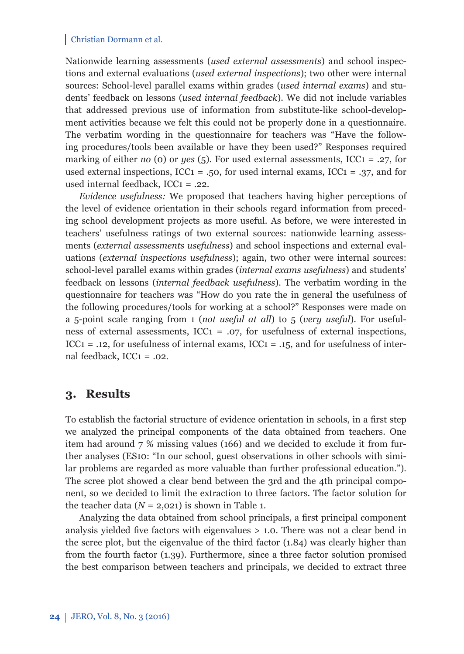Nationwide learning assessments (*used external assessments*) and school inspections and external evaluations (*used external inspections*); two other were internal sources: School-level parallel exams within grades (*used internal exams*) and students' feedback on lessons (*used internal feedback*). We did not include variables that addressed previous use of information from substitute-like school-development activities because we felt this could not be properly done in a questionnaire. The verbatim wording in the questionnaire for teachers was "Have the following procedures/tools been available or have they been used?" Responses required marking of either *no* (o) or *yes* (5). For used external assessments, ICC1 = .27, for used external inspections,  $ICC1 = .50$ , for used internal exams,  $ICC1 = .37$ , and for used internal feedback, ICC1 = .22.

*Evidence usefulness:* We proposed that teachers having higher perceptions of the level of evidence orientation in their schools regard information from preceding school development projects as more useful. As before, we were interested in teachers' usefulness ratings of two external sources: nationwide learning assessments (*external assessments usefulness*) and school inspections and external evaluations (*external inspections usefulness*); again, two other were internal sources: school-level parallel exams within grades (*internal exams usefulness*) and students' feedback on lessons (*internal feedback usefulness*). The verbatim wording in the questionnaire for teachers was "How do you rate the in general the usefulness of the following procedures/tools for working at a school?" Responses were made on a 5-point scale ranging from 1 (*not useful at all*) to 5 (*very useful*). For usefulness of external assessments,  $ICC1 = .07$ , for usefulness of external inspections, ICC1 = .12, for usefulness of internal exams, ICC1 = .15, and for usefulness of internal feedback,  $ICC1 = .02$ .

### **3. Results**

To establish the factorial structure of evidence orientation in schools, in a first step we analyzed the principal components of the data obtained from teachers. One item had around 7 % missing values (166) and we decided to exclude it from further analyses (ES10: "In our school, guest observations in other schools with similar problems are regarded as more valuable than further professional education."). The scree plot showed a clear bend between the 3rd and the 4th principal component, so we decided to limit the extraction to three factors. The factor solution for the teacher data  $(N = 2,021)$  is shown in Table 1.

Analyzing the data obtained from school principals, a first principal component analysis yielded five factors with eigenvalues  $> 1.0$ . There was not a clear bend in the scree plot, but the eigenvalue of the third factor (1.84) was clearly higher than from the fourth factor (1.39). Furthermore, since a three factor solution promised the best comparison between teachers and principals, we decided to extract three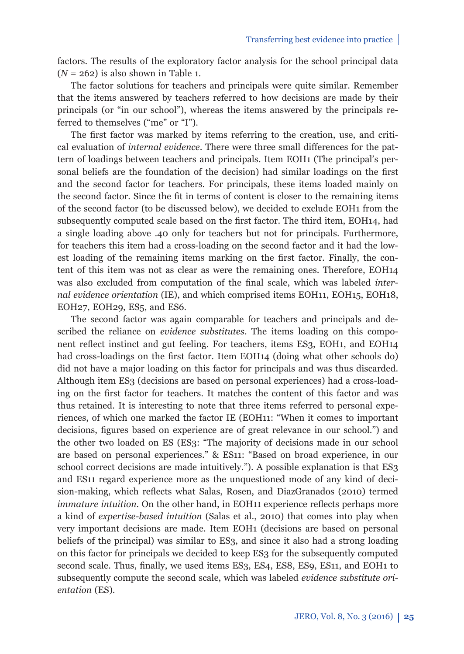factors. The results of the exploratory factor analysis for the school principal data  $(N = 262)$  is also shown in Table 1.

The factor solutions for teachers and principals were quite similar. Remember that the items answered by teachers referred to how decisions are made by their principals (or "in our school"), whereas the items answered by the principals referred to themselves ("me" or "I").

The first factor was marked by items referring to the creation, use, and critical evaluation of *internal evidence*. There were three small differences for the pattern of loadings between teachers and principals. Item EOH1 (The principal's personal beliefs are the foundation of the decision) had similar loadings on the first and the second factor for teachers. For principals, these items loaded mainly on the second factor. Since the fit in terms of content is closer to the remaining items of the second factor (to be discussed below), we decided to exclude EOH1 from the subsequently computed scale based on the first factor. The third item, EOH14, had a single loading above .40 only for teachers but not for principals. Furthermore, for teachers this item had a cross-loading on the second factor and it had the lowest loading of the remaining items marking on the first factor. Finally, the content of this item was not as clear as were the remaining ones. Therefore, EOH14 was also excluded from computation of the final scale, which was labeled *internal evidence orientation* (IE), and which comprised items EOH11, EOH15, EOH18, EOH27, EOH29, ES5, and ES6.

The second factor was again comparable for teachers and principals and described the reliance on *evidence substitutes*. The items loading on this component reflect instinct and gut feeling. For teachers, items ES3, EOH1, and EOH14 had cross-loadings on the first factor. Item EOH14 (doing what other schools do) did not have a major loading on this factor for principals and was thus discarded. Although item ES3 (decisions are based on personal experiences) had a cross-loading on the first factor for teachers. It matches the content of this factor and was thus retained. It is interesting to note that three items referred to personal experiences, of which one marked the factor IE (EOH11: "When it comes to important decisions, figures based on experience are of great relevance in our school.") and the other two loaded on ES (ES3: "The majority of decisions made in our school are based on personal experiences." & ES11: "Based on broad experience, in our school correct decisions are made intuitively."). A possible explanation is that ES3 and ES11 regard experience more as the unquestioned mode of any kind of decision-making, which reflects what Salas, Rosen, and DiazGranados (2010) termed *immature intuition*. On the other hand, in EOH11 experience reflects perhaps more a kind of *expertise-based intuition* (Salas et al., 2010) that comes into play when very important decisions are made. Item EOH1 (decisions are based on personal beliefs of the principal) was similar to ES3, and since it also had a strong loading on this factor for principals we decided to keep ES3 for the subsequently computed second scale. Thus, finally, we used items ES3, ES4, ES8, ES9, ES11, and EOH1 to subsequently compute the second scale, which was labeled *evidence substitute orientation* (ES).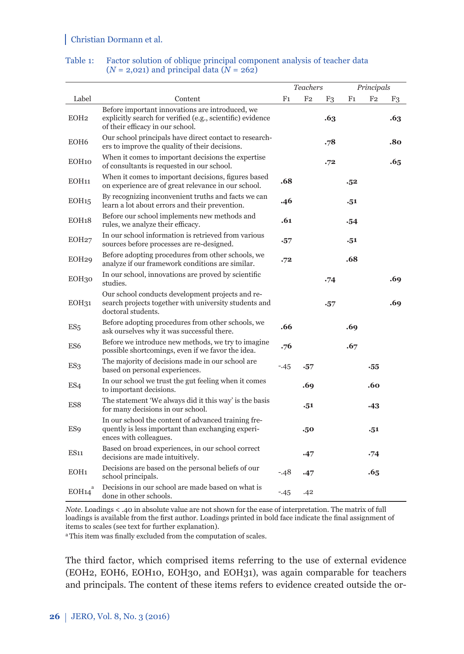|                   |                                                                                                                                                   |                | <b>Teachers</b> |            |                | Principals     |                |
|-------------------|---------------------------------------------------------------------------------------------------------------------------------------------------|----------------|-----------------|------------|----------------|----------------|----------------|
| Label             | Content                                                                                                                                           | F <sub>1</sub> | F <sub>2</sub>  | F3         | F <sub>1</sub> | F <sub>2</sub> | F <sub>3</sub> |
| EOH <sub>2</sub>  | Before important innovations are introduced, we<br>explicitly search for verified (e.g., scientific) evidence<br>of their efficacy in our school. |                |                 | .63        |                |                | .63            |
| EOH <sub>6</sub>  | Our school principals have direct contact to research-<br>ers to improve the quality of their decisions.                                          |                |                 | .78        |                |                | .80            |
| EOH <sub>10</sub> | When it comes to important decisions the expertise<br>of consultants is requested in our school.                                                  |                |                 | .72        |                |                | .65            |
| EOH11             | When it comes to important decisions, figures based<br>on experience are of great relevance in our school.                                        | .68            |                 |            | .52            |                |                |
| EOH15             | By recognizing inconvenient truths and facts we can<br>learn a lot about errors and their prevention.                                             | .46            |                 |            | .51            |                |                |
| EOH18             | Before our school implements new methods and<br>rules, we analyze their efficacy.                                                                 | .61            |                 |            | -54            |                |                |
| EOH <sub>27</sub> | In our school information is retrieved from various<br>sources before processes are re-designed.                                                  | $\cdot 57$     |                 |            | .51            |                |                |
| EOH <sub>29</sub> | Before adopting procedures from other schools, we<br>analyze if our framework conditions are similar.                                             | .72            |                 |            | .68            |                |                |
| EOH30             | In our school, innovations are proved by scientific<br>studies.                                                                                   |                |                 | .74        |                |                | .69            |
| EOH <sub>31</sub> | Our school conducts development projects and re-<br>search projects together with university students and<br>doctoral students.                   |                |                 | $\cdot 57$ |                |                | .69            |
| ES <sub>5</sub>   | Before adopting procedures from other schools, we<br>ask ourselves why it was successful there.                                                   | .66            |                 |            | .69            |                |                |
| ES6               | Before we introduce new methods, we try to imagine<br>possible shortcomings, even if we favor the idea.                                           | .76            |                 |            | .67            |                |                |
| ES <sub>3</sub>   | The majority of decisions made in our school are<br>based on personal experiences.                                                                | $-45$          | $-57$           |            |                | $-55$          |                |
| ES <sub>4</sub>   | In our school we trust the gut feeling when it comes<br>to important decisions.                                                                   |                | .69             |            |                | .60            |                |
| ES8               | The statement 'We always did it this way' is the basis<br>for many decisions in our school.                                                       |                | .51             |            |                | $-43$          |                |
| <b>ES9</b>        | In our school the content of advanced training fre-<br>quently is less important than exchanging experi-<br>ences with colleagues.                |                | .50             |            |                | .51            |                |
| <b>ES11</b>       | Based on broad experiences, in our school correct<br>decisions are made intuitively.                                                              |                | .47             |            |                | .74            |                |
| EOH <sub>1</sub>  | Decisions are based on the personal beliefs of our<br>school principals.                                                                          | $-.48$         | .47             |            |                | .65            |                |
| EOH14             | Decisions in our school are made based on what is<br>done in other schools.                                                                       | $-45$          | .42             |            |                |                |                |

#### Table 1: Factor solution of oblique principal component analysis of teacher data  $(N = 2,021)$  and principal data  $(N = 262)$

*Note.* Loadings < .40 in absolute value are not shown for the ease of interpretation. The matrix of full loadings is available from the first author. Loadings printed in bold face indicate the final assignment of items to scales (see text for further explanation).

<sup>a</sup> This item was finally excluded from the computation of scales.

The third factor, which comprised items referring to the use of external evidence (EOH2, EOH6, EOH10, EOH30, and EOH31), was again comparable for teachers and principals. The content of these items refers to evidence created outside the or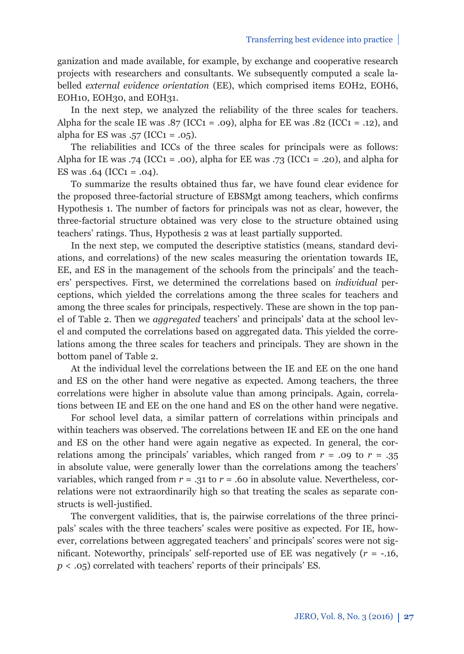ganization and made available, for example, by exchange and cooperative research projects with researchers and consultants. We subsequently computed a scale labelled *external evidence orientation* (EE), which comprised items EOH2, EOH6, EOH10, EOH30, and EOH31.

In the next step, we analyzed the reliability of the three scales for teachers. Alpha for the scale IE was .87 (ICC1 = .09), alpha for EE was .82 (ICC1 = .12), and alpha for ES was  $.57$  (ICC1 =  $.05$ ).

The reliabilities and ICCs of the three scales for principals were as follows: Alpha for IE was .74 (ICC1 = .00), alpha for EE was .73 (ICC1 = .20), and alpha for ES was  $.64$  (ICC<sub>1</sub> =  $.04$ ).

To summarize the results obtained thus far, we have found clear evidence for the proposed three-factorial structure of EBSMgt among teachers, which confirms Hypothesis 1. The number of factors for principals was not as clear, however, the three-factorial structure obtained was very close to the structure obtained using teachers' ratings. Thus, Hypothesis 2 was at least partially supported.

In the next step, we computed the descriptive statistics (means, standard deviations, and correlations) of the new scales measuring the orientation towards IE, EE, and ES in the management of the schools from the principals' and the teachers' perspectives. First, we determined the correlations based on *individual* perceptions, which yielded the correlations among the three scales for teachers and among the three scales for principals, respectively. These are shown in the top panel of Table 2. Then we *aggregated* teachers' and principals' data at the school level and computed the correlations based on aggregated data. This yielded the correlations among the three scales for teachers and principals. They are shown in the bottom panel of Table 2.

At the individual level the correlations between the IE and EE on the one hand and ES on the other hand were negative as expected. Among teachers, the three correlations were higher in absolute value than among principals. Again, correlations between IE and EE on the one hand and ES on the other hand were negative.

For school level data, a similar pattern of correlations within principals and within teachers was observed. The correlations between IE and EE on the one hand and ES on the other hand were again negative as expected. In general, the correlations among the principals' variables, which ranged from  $r = .09$  to  $r = .35$ in absolute value, were generally lower than the correlations among the teachers' variables, which ranged from  $r = .31$  to  $r = .60$  in absolute value. Nevertheless, correlations were not extraordinarily high so that treating the scales as separate constructs is well-justified.

The convergent validities, that is, the pairwise correlations of the three principals' scales with the three teachers' scales were positive as expected. For IE, however, correlations between aggregated teachers' and principals' scores were not significant. Noteworthy, principals' self-reported use of EE was negatively  $(r = -.16,$ *p* < .05) correlated with teachers' reports of their principals' ES.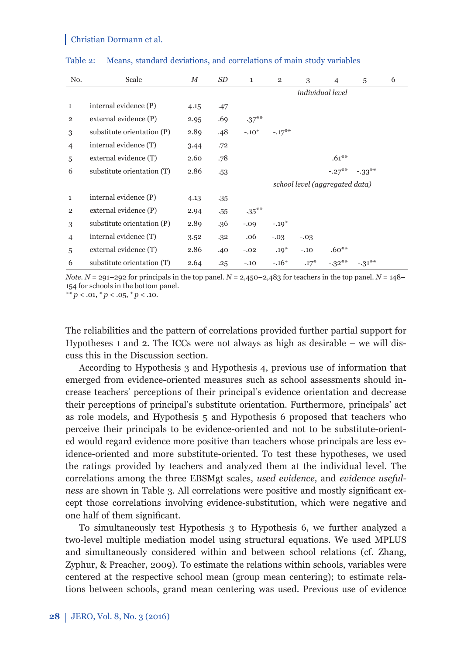| No.            | Scale                      | М    | SD    | $\mathbf{1}$ | $\overline{2}$ | 3      | 4                              | 5         | 6 |
|----------------|----------------------------|------|-------|--------------|----------------|--------|--------------------------------|-----------|---|
|                |                            |      |       |              |                |        | <i>individual level</i>        |           |   |
| 1              | internal evidence (P)      | 4.15 | .47   |              |                |        |                                |           |   |
| $\overline{2}$ | external evidence (P)      | 2.95 | .69   | $.37***$     |                |        |                                |           |   |
| 3              | substitute orientation (P) | 2.89 | .48   | $-.10^{+}$   | $-.17***$      |        |                                |           |   |
| 4              | internal evidence (T)      | 3.44 | .72   |              |                |        |                                |           |   |
| 5              | external evidence (T)      | 2.60 | .78   |              |                |        | $.61***$                       |           |   |
| 6              | substitute orientation (T) | 2.86 | .53   |              |                |        | $-.27***$                      | $-33**$   |   |
|                |                            |      |       |              |                |        | school level (aggregated data) |           |   |
| $\mathbf{1}$   | internal evidence (P)      | 4.13 | $-35$ |              |                |        |                                |           |   |
| $\overline{2}$ | external evidence (P)      | 2.94 | .55   | $-35***$     |                |        |                                |           |   |
| 3              | substitute orientation (P) | 2.89 | .36   | $-.09$       | $-.19*$        |        |                                |           |   |
| 4              | internal evidence (T)      | 3.52 | .32   | .06          | $-.03$         | $-.03$ |                                |           |   |
| 5              | external evidence (T)      | 2.86 | .40   | $-.02$       | $.19*$         | $-.10$ | $.60**$                        |           |   |
| 6              | substitute orientation (T) | 2.64 | .25   | $-.10$       | $-.16+$        | $.17*$ | $-.32***$                      | $-.31***$ |   |

Table 2: Means, standard deviations, and correlations of main study variables

*Note.*  $N = 291 - 292$  for principals in the top panel.  $N = 2,450 - 2,483$  for teachers in the top panel.  $N = 148 - 12$ 154 for schools in the bottom panel.

\*\*  $p < .01$ , \*  $p < .05$ ,  $\frac{+}{2}p < .10$ .

The reliabilities and the pattern of correlations provided further partial support for Hypotheses 1 and 2. The ICCs were not always as high as desirable – we will discuss this in the Discussion section.

According to Hypothesis 3 and Hypothesis 4, previous use of information that emerged from evidence-oriented measures such as school assessments should increase teachers' perceptions of their principal's evidence orientation and decrease their perceptions of principal's substitute orientation. Furthermore, principals' act as role models, and Hypothesis 5 and Hypothesis 6 proposed that teachers who perceive their principals to be evidence-oriented and not to be substitute-oriented would regard evidence more positive than teachers whose principals are less evidence-oriented and more substitute-oriented. To test these hypotheses, we used the ratings provided by teachers and analyzed them at the individual level. The correlations among the three EBSMgt scales, *used evidence,* and *evidence usefulness* are shown in Table 3. All correlations were positive and mostly significant except those correlations involving evidence-substitution, which were negative and one half of them significant.

To simultaneously test Hypothesis 3 to Hypothesis 6, we further analyzed a two-level multiple mediation model using structural equations. We used MPLUS and simultaneously considered within and between school relations (cf. Zhang, Zyphur, & Preacher, 2009). To estimate the relations within schools, variables were centered at the respective school mean (group mean centering); to estimate relations between schools, grand mean centering was used. Previous use of evidence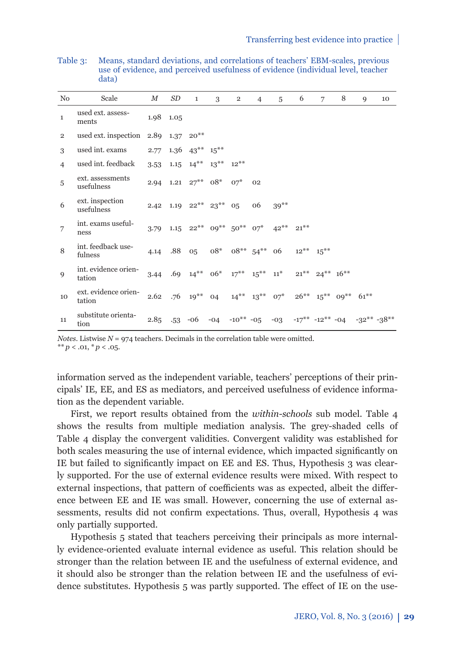| N <sub>0</sub> | Scale                          | $\boldsymbol{M}$ | SD        | $\mathbf{1}$           | 3                                                        | $\overline{2}$             | $\overline{4}$ | 5       | 6      | 7                       | 8                               | 9                                                                              | 10 |
|----------------|--------------------------------|------------------|-----------|------------------------|----------------------------------------------------------|----------------------------|----------------|---------|--------|-------------------------|---------------------------------|--------------------------------------------------------------------------------|----|
| 1              | used ext. assess-<br>ments     |                  | 1.98 1.05 |                        |                                                          |                            |                |         |        |                         |                                 |                                                                                |    |
| $\overline{2}$ | used ext. inspection           |                  |           | $2.89$ 1.37 $20***$    |                                                          |                            |                |         |        |                         |                                 |                                                                                |    |
| 3              | used int. exams                | 2.77             |           | $1.36$ $43***$ $15***$ |                                                          |                            |                |         |        |                         |                                 |                                                                                |    |
| $\overline{4}$ | used int. feedback             | 3.53             |           |                        | $1.15 \quad 14*** \quad 13*** \quad 12***$               |                            |                |         |        |                         |                                 |                                                                                |    |
| 5              | ext. assessments<br>usefulness |                  |           | 2.94 1.21 $27***$ 08*  |                                                          | $07*$                      | 02             |         |        |                         |                                 |                                                                                |    |
| 6              | ext. inspection<br>usefulness  | 2.42             |           |                        | 1.19 $22***$ $23***$                                     | 05                         | 06             | $39***$ |        |                         |                                 |                                                                                |    |
| 7              | int. exams useful-<br>ness     | 3.79             |           |                        | $1.15$ $22***$ $09***$ $50**$ $07*$                      |                            |                | $42***$ | $21**$ |                         |                                 |                                                                                |    |
| 8              | int. feedback use-<br>fulness  | 4.14             | .88       | 05                     |                                                          | $08^*$ $08^{**}$ $54^{**}$ |                | 06      |        | $12^{**}$ $15^{**}$     |                                 |                                                                                |    |
| 9              | int. evidence orien-<br>tation | 3.44             |           |                        | .69 $14^{**}$ 06 <sup>*</sup> $17^{**}$ $15^{**}$ $11^*$ |                            |                |         |        | $21***$ $24***$ $16***$ |                                 |                                                                                |    |
| 10             | ext. evidence orien-<br>tation | 2.62             |           | $.76 \t19***$          | 04                                                       | $14***$ $13***$            |                | $07^*$  |        |                         | $26***$ $15***$ $09***$ $61***$ |                                                                                |    |
| 11             | substitute orienta-<br>tion    | 2.85             |           | $-53 - 06$             |                                                          |                            |                |         |        |                         |                                 | $-04$ $-10^{**}$ $-05$ $-03$ $-17^{**}$ $-12^{**}$ $-04$ $-32^{**}$ $-38^{**}$ |    |

Table 3: Means, standard deviations, and correlations of teachers' EBM-scales, previous use of evidence, and perceived usefulness of evidence (individual level, teacher data)

*Notes.* Listwise  $N = 974$  teachers. Decimals in the correlation table were omitted.

\*\*  $p < .01,$  \*  $p < .05$ .

information served as the independent variable, teachers' perceptions of their principals' IE, EE, and ES as mediators, and perceived usefulness of evidence information as the dependent variable.

First, we report results obtained from the *within-schools* sub model. Table 4 shows the results from multiple mediation analysis. The grey-shaded cells of Table 4 display the convergent validities. Convergent validity was established for both scales measuring the use of internal evidence, which impacted significantly on IE but failed to significantly impact on EE and ES. Thus, Hypothesis 3 was clearly supported. For the use of external evidence results were mixed. With respect to external inspections, that pattern of coefficients was as expected, albeit the difference between EE and IE was small. However, concerning the use of external assessments, results did not confirm expectations. Thus, overall, Hypothesis 4 was only partially supported.

Hypothesis 5 stated that teachers perceiving their principals as more internally evidence-oriented evaluate internal evidence as useful. This relation should be stronger than the relation between IE and the usefulness of external evidence, and it should also be stronger than the relation between IE and the usefulness of evidence substitutes. Hypothesis 5 was partly supported. The effect of IE on the use-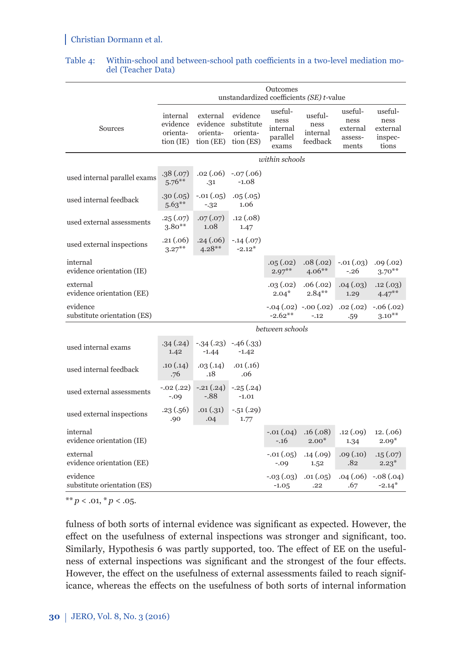|                                         |                                               |                                               | unstandardized coefficients (SE) t-value        | Outcomes                                         |                                         |                                                 |                                                 |
|-----------------------------------------|-----------------------------------------------|-----------------------------------------------|-------------------------------------------------|--------------------------------------------------|-----------------------------------------|-------------------------------------------------|-------------------------------------------------|
| Sources                                 | internal<br>evidence<br>orienta-<br>tion (IE) | external<br>evidence<br>orienta-<br>tion (EE) | evidence<br>substitute<br>orienta-<br>tion (ES) | useful-<br>ness<br>internal<br>parallel<br>exams | useful-<br>ness<br>internal<br>feedback | useful-<br>ness<br>external<br>assess-<br>ments | useful-<br>ness<br>external<br>inspec-<br>tions |
|                                         |                                               |                                               |                                                 | within schools                                   |                                         |                                                 |                                                 |
| used internal parallel exams            | .38(.07)<br>$5.76***$                         | $.02\,(.06)$<br>.31                           | $-.07(.06)$<br>$-1.08$                          |                                                  |                                         |                                                 |                                                 |
| used internal feedback                  | .30 (.05)<br>$5.63***$                        | $-.01(.05)$<br>$-.32$                         | .05(.05)<br>1.06                                |                                                  |                                         |                                                 |                                                 |
| used external assessments               | .25(.07)<br>$3.80**$                          | .07(.07)<br>1.08                              | .12(.08)<br>1.47                                |                                                  |                                         |                                                 |                                                 |
| used external inspections               | .21(.06)<br>$3.27***$                         | .24(.06)<br>$4.28**$                          | $-.14(.07)$<br>$-2.12*$                         |                                                  |                                         |                                                 |                                                 |
| internal<br>evidence orientation (IE)   |                                               |                                               |                                                 | .05(.02)<br>$2.97***$                            | .08(.02)<br>$4.06**$                    | $-.01(.03)$<br>$-.26$                           | .09(.02)<br>$3.70***$                           |
| external<br>evidence orientation (EE)   |                                               |                                               |                                                 | .03(.02)<br>$2.04*$                              | .06(.02)<br>$2.84***$                   | .04(.03)<br>1.29                                | .12(.03)<br>$4.47***$                           |
| evidence<br>substitute orientation (ES) |                                               |                                               |                                                 | $-0.04(0.02) -0.00(0.02)$<br>$-2.62**$           | $-.12$                                  | .02(.02)<br>.59                                 | $-.06(.02)$<br>$3.10***$                        |
|                                         |                                               |                                               |                                                 | between schools                                  |                                         |                                                 |                                                 |
| used internal exams                     | .34(.24)<br>1.42                              | $-1.44$                                       | $-.34(.23) -.46(.33)$<br>$-1.42$                |                                                  |                                         |                                                 |                                                 |
| used internal feedback                  | .10(0.14)<br>.76                              | .03(.14)<br>.18                               | .01(.16)<br>.06                                 |                                                  |                                         |                                                 |                                                 |
| used external assessments               | $-.02(.22)$<br>$-.09$                         | $-.21(.24)$<br>$-.88$                         | $-.25(.24)$<br>$-1.01$                          |                                                  |                                         |                                                 |                                                 |
| used external inspections               | .23 (.56)<br>.90                              | .01(.31)<br>.04                               | $-.51(.29)$<br>1.77                             |                                                  |                                         |                                                 |                                                 |
| internal<br>evidence orientation (IE)   |                                               |                                               |                                                 | $-.01(.04)$<br>$-.16$                            | .16(.08)<br>$2.00*$                     | .12(.09)<br>1.34                                | 12. (0.06)<br>$2.09*$                           |
| external<br>evidence orientation (EE)   |                                               |                                               |                                                 | $-.01(.05)$<br>$-.09$                            | .14(.09)<br>1.52                        | .09(.10)<br>.82                                 | .15(.07)<br>$2.23*$                             |
| evidence<br>substitute orientation (ES) |                                               |                                               |                                                 | $-.03(.03)$<br>$-1.05$                           | .01(.05)<br>.22                         | .04(.06)<br>.67                                 | $-.08(.04)$<br>$-2.14*$                         |
|                                         |                                               |                                               |                                                 |                                                  |                                         |                                                 |                                                 |

#### Table 4: Within-school and between-school path coefficients in a two-level mediation model (Teacher Data)

 $*$  *k*  $p$  < .01,  $*$   $p$  < .05*.* 

fulness of both sorts of internal evidence was significant as expected. However, the effect on the usefulness of external inspections was stronger and significant, too. Similarly, Hypothesis 6 was partly supported, too. The effect of EE on the usefulness of external inspections was significant and the strongest of the four effects. However, the effect on the usefulness of external assessments failed to reach significance, whereas the effects on the usefulness of both sorts of internal information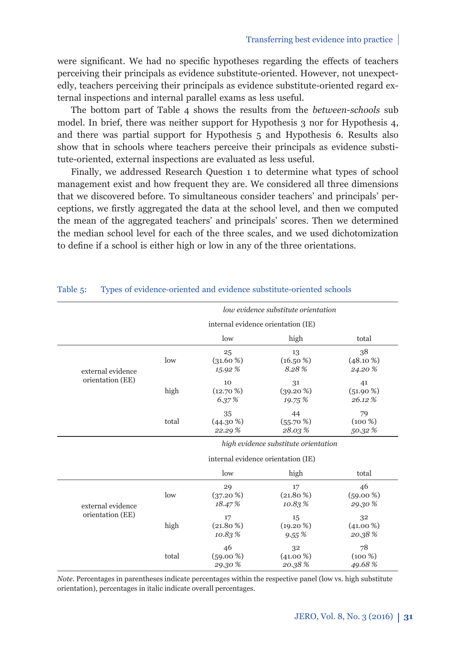were significant. We had no specific hypotheses regarding the effects of teachers perceiving their principals as evidence substitute-oriented. However, not unexpectedly, teachers perceiving their principals as evidence substitute-oriented regard external inspections and internal parallel exams as less useful.

The bottom part of Table 4 shows the results from the *between-schools* sub model. In brief, there was neither support for Hypothesis 3 nor for Hypothesis 4, and there was partial support for Hypothesis 5 and Hypothesis 6. Results also show that in schools where teachers perceive their principals as evidence substitute-oriented, external inspections are evaluated as less useful.

Finally, we addressed Research Question 1 to determine what types of school management exist and how frequent they are. We considered all three dimensions that we discovered before. To simultaneous consider teachers' and principals' perceptions, we firstly aggregated the data at the school level, and then we computed the mean of the aggregated teachers' and principals' scores. Then we determined the median school level for each of the three scales, and we used dichotomization to define if a school is either high or low in any of the three orientations.

|                   |       |             | low evidence substitute orientation  |             |
|-------------------|-------|-------------|--------------------------------------|-------------|
|                   |       |             | internal evidence orientation (IE)   |             |
|                   |       | low         | high                                 | total       |
|                   |       | 25          | 13                                   | 38          |
|                   | low   | $(31.60\%)$ | $(16.50\%)$                          | $(48.10\%)$ |
| external evidence |       | 15.92 %     | 8.28%                                | 24.20 %     |
| orientation (EE)  |       | 10          | 31                                   | 41          |
|                   | high  | $(12.70\%)$ | $(39.20\%)$                          | $(51.90\%)$ |
|                   |       | 6.37%       | 19.75 %                              | 26.12%      |
|                   |       | 35          | 44                                   | 79          |
|                   | total | $(44.30\%)$ | $(55.70\%)$                          | $(100\%)$   |
|                   |       | 22.29%      | 28.03%                               | 50.32%      |
|                   |       |             | high evidence substitute orientation |             |
|                   |       |             | internal evidence orientation (IE)   |             |
|                   |       | low         | high                                 | total       |
|                   |       | 29          | 17                                   | 46          |
|                   | low   | $(37.20\%)$ | $(21.80\%)$                          | $(59.00\%)$ |
| external evidence |       | 18.47%      | 10.83%                               | 29.30 %     |
| orientation (EE)  |       | 17          | 15                                   | 32          |
|                   | high  | $(21.80\%)$ | $(19.20\%)$                          | $(41.00\%)$ |
|                   |       | 10.83%      | 9.55%                                | 20.38%      |
|                   |       | 46          | 32                                   | 78          |
|                   | total | $(59.00\%)$ | $(41.00\%)$                          | $(100\%)$   |
|                   |       | 29.30%      | 20.38%                               | 49.68%      |

#### Table 5: Types of evidence-oriented and evidence substitute-oriented schools

*Note*. Percentages in parentheses indicate percentages within the respective panel (low vs. high substitute orientation), percentages in italic indicate overall percentages.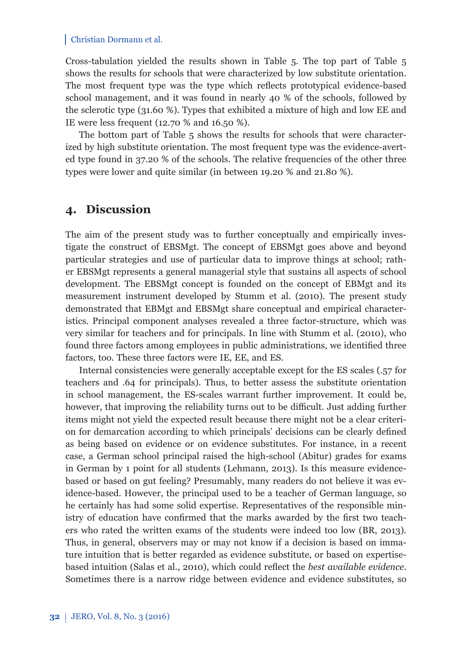Cross-tabulation yielded the results shown in Table 5. The top part of Table 5 shows the results for schools that were characterized by low substitute orientation. The most frequent type was the type which reflects prototypical evidence-based school management, and it was found in nearly 40 % of the schools, followed by the sclerotic type (31.60 %). Types that exhibited a mixture of high and low EE and IE were less frequent (12.70 % and 16.50 %).

The bottom part of Table 5 shows the results for schools that were characterized by high substitute orientation. The most frequent type was the evidence-averted type found in 37.20 % of the schools. The relative frequencies of the other three types were lower and quite similar (in between 19.20 % and 21.80 %).

## **4. Discussion**

The aim of the present study was to further conceptually and empirically investigate the construct of EBSMgt. The concept of EBSMgt goes above and beyond particular strategies and use of particular data to improve things at school; rather EBSMgt represents a general managerial style that sustains all aspects of school development. The EBSMgt concept is founded on the concept of EBMgt and its measurement instrument developed by Stumm et al. (2010). The present study demonstrated that EBMgt and EBSMgt share conceptual and empirical characteristics. Principal component analyses revealed a three factor-structure, which was very similar for teachers and for principals. In line with Stumm et al. (2010), who found three factors among employees in public administrations, we identified three factors, too. These three factors were IE, EE, and ES.

Internal consistencies were generally acceptable except for the ES scales (.57 for teachers and .64 for principals). Thus, to better assess the substitute orientation in school management, the ES-scales warrant further improvement. It could be, however, that improving the reliability turns out to be difficult. Just adding further items might not yield the expected result because there might not be a clear criterion for demarcation according to which principals' decisions can be clearly defined as being based on evidence or on evidence substitutes. For instance, in a recent case, a German school principal raised the high-school (Abitur) grades for exams in German by 1 point for all students (Lehmann, 2013). Is this measure evidencebased or based on gut feeling? Presumably, many readers do not believe it was evidence-based. However, the principal used to be a teacher of German language, so he certainly has had some solid expertise. Representatives of the responsible ministry of education have confirmed that the marks awarded by the first two teachers who rated the written exams of the students were indeed too low (BR, 2013). Thus, in general, observers may or may not know if a decision is based on immature intuition that is better regarded as evidence substitute, or based on expertisebased intuition (Salas et al., 2010), which could reflect the *best available evidence*. Sometimes there is a narrow ridge between evidence and evidence substitutes, so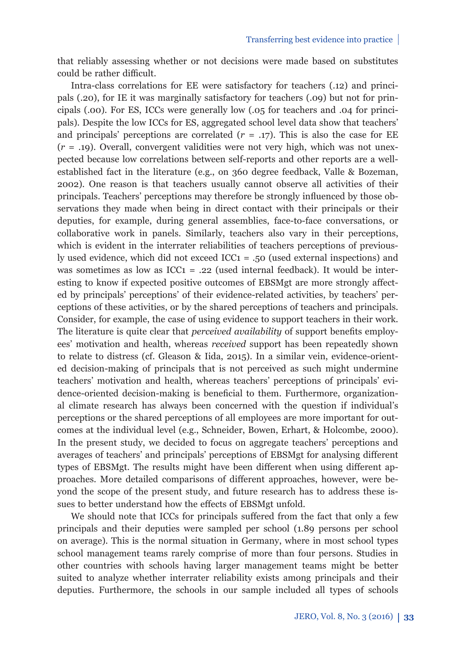that reliably assessing whether or not decisions were made based on substitutes could be rather difficult.

Intra-class correlations for EE were satisfactory for teachers (.12) and principals (.20), for IE it was marginally satisfactory for teachers (.09) but not for principals (.00). For ES, ICCs were generally low (.05 for teachers and .04 for principals). Despite the low ICCs for ES, aggregated school level data show that teachers' and principals' perceptions are correlated  $(r = .17)$ . This is also the case for EE (*r* = .19). Overall, convergent validities were not very high, which was not unexpected because low correlations between self-reports and other reports are a wellestablished fact in the literature (e.g., on 360 degree feedback, Valle & Bozeman, 2002). One reason is that teachers usually cannot observe all activities of their principals. Teachers' perceptions may therefore be strongly influenced by those observations they made when being in direct contact with their principals or their deputies, for example, during general assemblies, face-to-face conversations, or collaborative work in panels. Similarly, teachers also vary in their perceptions, which is evident in the interrater reliabilities of teachers perceptions of previously used evidence, which did not exceed ICC1 = .50 (used external inspections) and was sometimes as low as  $ICC_1 = .22$  (used internal feedback). It would be interesting to know if expected positive outcomes of EBSMgt are more strongly affected by principals' perceptions' of their evidence-related activities, by teachers' perceptions of these activities, or by the shared perceptions of teachers and principals. Consider, for example, the case of using evidence to support teachers in their work. The literature is quite clear that *perceived availability* of support benefits employees' motivation and health, whereas *received* support has been repeatedly shown to relate to distress (cf. Gleason & Iida, 2015). In a similar vein, evidence-oriented decision-making of principals that is not perceived as such might undermine teachers' motivation and health, whereas teachers' perceptions of principals' evidence-oriented decision-making is beneficial to them. Furthermore, organizational climate research has always been concerned with the question if individual's perceptions or the shared perceptions of all employees are more important for outcomes at the individual level (e.g., Schneider, Bowen, Erhart, & Holcombe, 2000). In the present study, we decided to focus on aggregate teachers' perceptions and averages of teachers' and principals' perceptions of EBSMgt for analysing different types of EBSMgt. The results might have been different when using different approaches. More detailed comparisons of different approaches, however, were beyond the scope of the present study, and future research has to address these issues to better understand how the effects of EBSMgt unfold.

We should note that ICCs for principals suffered from the fact that only a few principals and their deputies were sampled per school (1.89 persons per school on average). This is the normal situation in Germany, where in most school types school management teams rarely comprise of more than four persons. Studies in other countries with schools having larger management teams might be better suited to analyze whether interrater reliability exists among principals and their deputies. Furthermore, the schools in our sample included all types of schools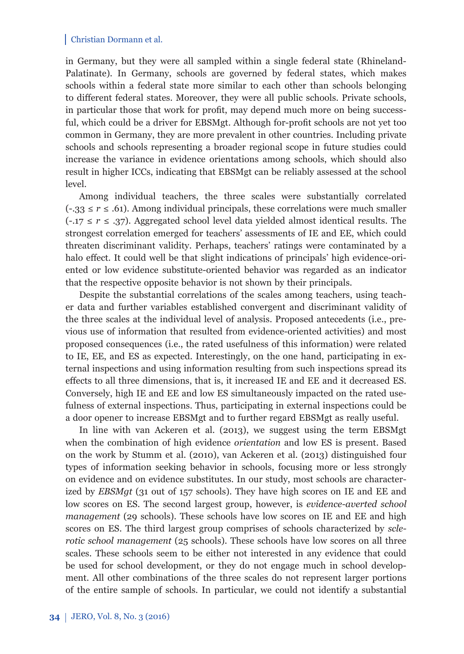in Germany, but they were all sampled within a single federal state (Rhineland-Palatinate). In Germany, schools are governed by federal states, which makes schools within a federal state more similar to each other than schools belonging to different federal states. Moreover, they were all public schools. Private schools, in particular those that work for profit, may depend much more on being successful, which could be a driver for EBSMgt. Although for-profi t schools are not yet too common in Germany, they are more prevalent in other countries. Including private schools and schools representing a broader regional scope in future studies could increase the variance in evidence orientations among schools, which should also result in higher ICCs, indicating that EBSMgt can be reliably assessed at the school level.

Among individual teachers, the three scales were substantially correlated  $(-33 \le r \le .61)$ . Among individual principals, these correlations were much smaller (-.17 ≤ *r* ≤ .37). Aggregated school level data yielded almost identical results. The strongest correlation emerged for teachers' assessments of IE and EE, which could threaten discriminant validity. Perhaps, teachers' ratings were contaminated by a halo effect. It could well be that slight indications of principals' high evidence-oriented or low evidence substitute-oriented behavior was regarded as an indicator that the respective opposite behavior is not shown by their principals.

Despite the substantial correlations of the scales among teachers, using teacher data and further variables established convergent and discriminant validity of the three scales at the individual level of analysis. Proposed antecedents (i.e., previous use of information that resulted from evidence-oriented activities) and most proposed consequences (i.e., the rated usefulness of this information) were related to IE, EE, and ES as expected. Interestingly, on the one hand, participating in external inspections and using information resulting from such inspections spread its effects to all three dimensions, that is, it increased IE and EE and it decreased ES. Conversely, high IE and EE and low ES simultaneously impacted on the rated usefulness of external inspections. Thus, participating in external inspections could be a door opener to increase EBSMgt and to further regard EBSMgt as really useful.

In line with van Ackeren et al. (2013), we suggest using the term EBSMgt when the combination of high evidence *orientation* and low ES is present. Based on the work by Stumm et al. (2010), van Ackeren et al. (2013) distinguished four types of information seeking behavior in schools, focusing more or less strongly on evidence and on evidence substitutes. In our study, most schools are characterized by *EBSMgt* (31 out of 157 schools). They have high scores on IE and EE and low scores on ES. The second largest group, however, is *evidence-averted school management* (29 schools). These schools have low scores on IE and EE and high scores on ES. The third largest group comprises of schools characterized by *sclerotic school management* (25 schools)*.* These schools have low scores on all three scales. These schools seem to be either not interested in any evidence that could be used for school development, or they do not engage much in school development. All other combinations of the three scales do not represent larger portions of the entire sample of schools. In particular, we could not identify a substantial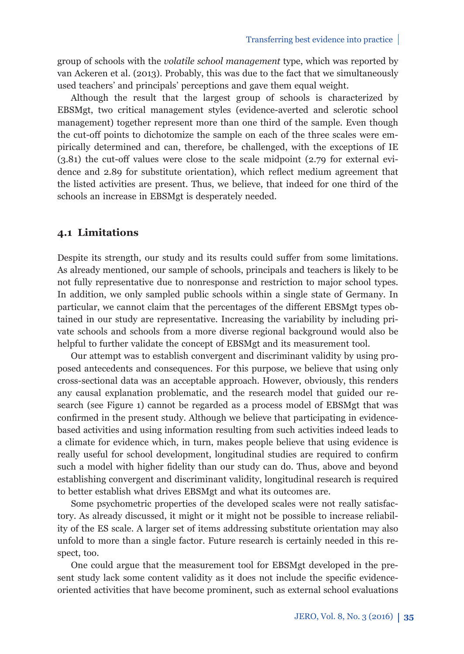group of schools with the *volatile school management* type, which was reported by van Ackeren et al. (2013). Probably, this was due to the fact that we simultaneously used teachers' and principals' perceptions and gave them equal weight.

Although the result that the largest group of schools is characterized by EBSMgt, two critical management styles (evidence-averted and sclerotic school management) together represent more than one third of the sample. Even though the cut-off points to dichotomize the sample on each of the three scales were empirically determined and can, therefore, be challenged, with the exceptions of IE (3.81) the cut-off values were close to the scale midpoint (2.79 for external evidence and 2.89 for substitute orientation), which reflect medium agreement that the listed activities are present. Thus, we believe, that indeed for one third of the schools an increase in EBSMgt is desperately needed.

### **4.1 Limitations**

Despite its strength, our study and its results could suffer from some limitations. As already mentioned, our sample of schools, principals and teachers is likely to be not fully representative due to nonresponse and restriction to major school types. In addition, we only sampled public schools within a single state of Germany. In particular, we cannot claim that the percentages of the different EBSMgt types obtained in our study are representative. Increasing the variability by including private schools and schools from a more diverse regional background would also be helpful to further validate the concept of EBSMgt and its measurement tool.

Our attempt was to establish convergent and discriminant validity by using proposed antecedents and consequences. For this purpose, we believe that using only cross-sectional data was an acceptable approach. However, obviously, this renders any causal explanation problematic, and the research model that guided our research (see Figure 1) cannot be regarded as a process model of EBSMgt that was confirmed in the present study. Although we believe that participating in evidencebased activities and using information resulting from such activities indeed leads to a climate for evidence which, in turn, makes people believe that using evidence is really useful for school development, longitudinal studies are required to confirm such a model with higher fidelity than our study can do. Thus, above and beyond establishing convergent and discriminant validity, longitudinal research is required to better establish what drives EBSMgt and what its outcomes are.

Some psychometric properties of the developed scales were not really satisfactory. As already discussed, it might or it might not be possible to increase reliability of the ES scale. A larger set of items addressing substitute orientation may also unfold to more than a single factor. Future research is certainly needed in this respect, too.

One could argue that the measurement tool for EBSMgt developed in the present study lack some content validity as it does not include the specific evidenceoriented activities that have become prominent, such as external school evaluations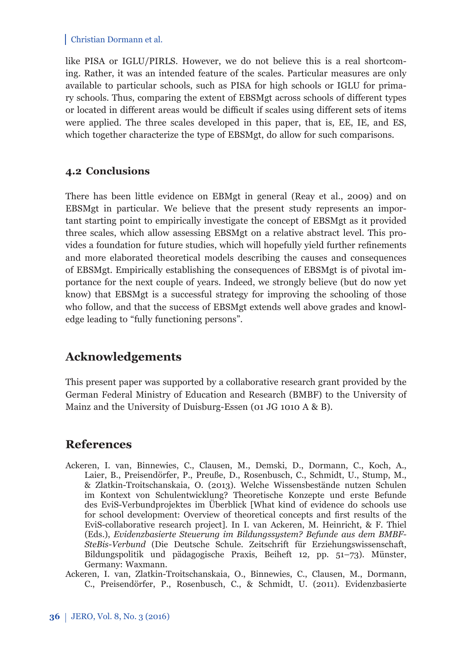like PISA or IGLU/PIRLS. However, we do not believe this is a real shortcoming. Rather, it was an intended feature of the scales. Particular measures are only available to particular schools, such as PISA for high schools or IGLU for primary schools. Thus, comparing the extent of EBSMgt across schools of different types or located in different areas would be difficult if scales using different sets of items were applied. The three scales developed in this paper, that is, EE, IE, and ES, which together characterize the type of EBSMgt, do allow for such comparisons.

### **4.2 Conclusions**

There has been little evidence on EBMgt in general (Reay et al., 2009) and on EBSMgt in particular. We believe that the present study represents an important starting point to empirically investigate the concept of EBSMgt as it provided three scales, which allow assessing EBSMgt on a relative abstract level. This provides a foundation for future studies, which will hopefully yield further refinements and more elaborated theoretical models describing the causes and consequences of EBSMgt. Empirically establishing the consequences of EBSMgt is of pivotal importance for the next couple of years. Indeed, we strongly believe (but do now yet know) that EBSMgt is a successful strategy for improving the schooling of those who follow, and that the success of EBSMgt extends well above grades and knowledge leading to "fully functioning persons".

# **Acknowledgements**

This present paper was supported by a collaborative research grant provided by the German Federal Ministry of Education and Research (BMBF) to the University of Mainz and the University of Duisburg-Essen (01 JG 1010 A & B).

## **References**

- Ackeren, I. van, Binnewies, C., Clausen, M., Demski, D., Dormann, C., Koch, A., Laier, B., Preisendörfer, P., Preuße, D., Rosenbusch, C., Schmidt, U., Stump, M., & Zlatkin-Troitschanskaia, O. (2013). Welche Wissensbestände nutzen Schulen im Kontext von Schulentwicklung? Theoretische Konzepte und erste Befunde des EviS-Verbundprojektes im Überblick [What kind of evidence do schools use for school development: Overview of theoretical concepts and first results of the EviS-collaborative research project]. In I. van Ackeren, M. Heinricht, & F. Thiel (Eds.), *Evidenzbasierte Steuerung im Bildungssystem? Befunde aus dem BMBF-SteBis-Verbund* (Die Deutsche Schule. Zeitschrift für Erziehungswissenschaft, Bildungspolitik und pädagogische Praxis, Beiheft 12*,* pp. 51–73). Münster, Germany: Waxmann.
- Ackeren, I. van, Zlatkin-Troitschanskaia, O., Binnewies, C., Clausen, M., Dormann, C., Preisendörfer, P., Rosenbusch, C., & Schmidt, U. (2011). Evidenzbasierte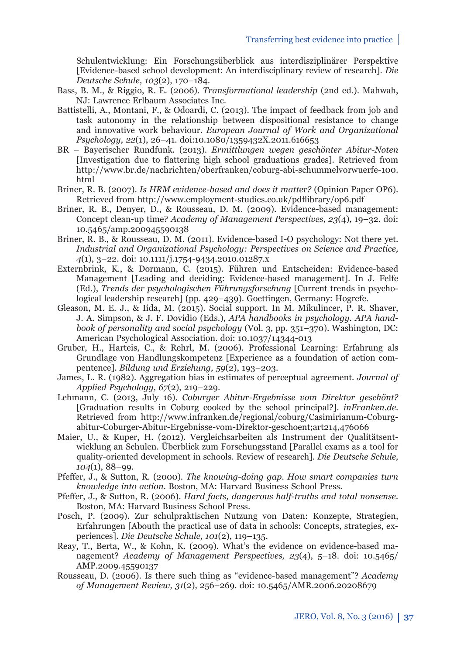Schul entwicklung: Ein Forschungsüberblick aus interdisziplinärer Perspektive [Evidence-based school development: An interdisciplinary review of research]. *Die Deutsche Schule, 103*(2), 170–184.

- Bass, B. M., & Riggio, R. E. (2006). *Transformational leadership* (2nd ed.). Mahwah, NJ: Lawrence Erlbaum Associates Inc.
- Battistelli, A., Montani, F., & Odoardi, C. (2013). The impact of feedback from job and task autonomy in the relationship between dispositional resistance to change and innovative work behaviour. *European Journal of Work and Organizational Psychology, 22*(1), 26–41. doi:10.1080/1359432X.2011.616653
- BR Bayerischer Rundfunk. (2013). *Ermittlungen wegen geschönter Abitur-Noten* [Investigation due to flattering high school graduations grades]. Retrieved from http://www.br.de/nachrichten/oberfranken/coburg-abi-schummelvorwuerfe-100. html
- Briner, R. B. (2007). *Is HRM evidence-based and does it matter?* (Opinion Paper OP6). Retrieved from http://www.employment-studies.co.uk/pdflibrary/op6.pdf
- Briner, R. B., Denyer, D., & Rousseau, D. M. (2009). Evidence-based management: Concept clean-up time? *Academy of Management Perspectives, 23*(4), 19–32. doi: 10.5465/amp.200945590138
- Briner, R. B., & Rousseau, D. M. (2011). Evidence-based I-O psychology: Not there yet. *Industrial and Organizational Psychology: Perspectives on Science and Practice, 4*(1), 3–22. doi: 10.1111/j.1754-9434.2010.01287.x
- Externbrink, K., & Dormann, C. (2015). Führen und Entscheiden: Evidence-based Management [Leading and deciding: Evidence-based management]. In J. Felfe (Ed.), *Trends der psychologischen Führungsforschung* [Current trends in psychological leadership research] (pp. 429–439). Goettingen, Germany: Hogrefe.
- Gleason, M. E. J., & Iida, M. (2015). Social support. In M. Mikulincer, P. R. Shaver, J. A. Simpson, & J. F. Dovidio (Eds.), *APA handbooks in psychology. APA handbook of personality and social psychology* (Vol. 3*,* pp. 351–370). Washington, DC: American Psychological Association. doi: 10.1037/14344-013
- Gruber, H., Harteis, C., & Rehrl, M. (2006). Professional Learning: Erfahrung als Grundlage von Handlungskompetenz [Experience as a foundation of action compentence]. *Bildung und Erziehung, 59*(2), 193–203.
- James, L. R. (1982). Aggregation bias in estimates of perceptual agreement. *Journal of Applied Psychology, 67*(2), 219–229.
- Lehmann, C. (2013, July 16). *Coburger Abitur-Ergebnisse vom Direktor geschönt?* [Graduation results in Coburg cooked by the school principal?]. *inFranken.de*. Retrieved from http://www.infranken.de/regional/coburg/Casimirianum-Coburgabitur-Coburger-Abitur-Ergebnisse-vom-Direktor-geschoent;art214,476066
- Maier, U., & Kuper, H. (2012). Vergleichsarbeiten als Instrument der Qualitätsentwicklung an Schulen. Überblick zum Forschungsstand [Parallel exams as a tool for quality-oriented development in schools. Review of research]. *Die Deutsche Schule, 104*(1), 88–99.
- Pfeffer, J., & Sutton, R. (2000). *The knowing-doing gap. How smart companies turn knowledge into action.* Boston, MA: Harvard Business School Press.
- Pfeffer, J., & Sutton, R. (2006). *Hard facts, dangerous half-truths and total nonsense.* Boston, MA: Harvard Business School Press.
- Posch, P. (2009). Zur schulpraktischen Nutzung von Daten: Konzepte, Strategien, Erfahrungen [Abouth the practical use of data in schools: Concepts, strategies, experiences]. *Die Deutsche Schule, 101*(2), 119–135.
- Reay, T., Berta, W., & Kohn, K. (2009). What's the evidence on evidence-based management? *Academy of Management Perspectives, 23*(4), 5–18. doi: 10.5465/ AMP.2009.45590137
- Rousseau, D. (2006). Is there such thing as "evidence-based management"? *Academy of Management Review, 31*(2), 256–269. doi: 10.5465/AMR.2006.20208679